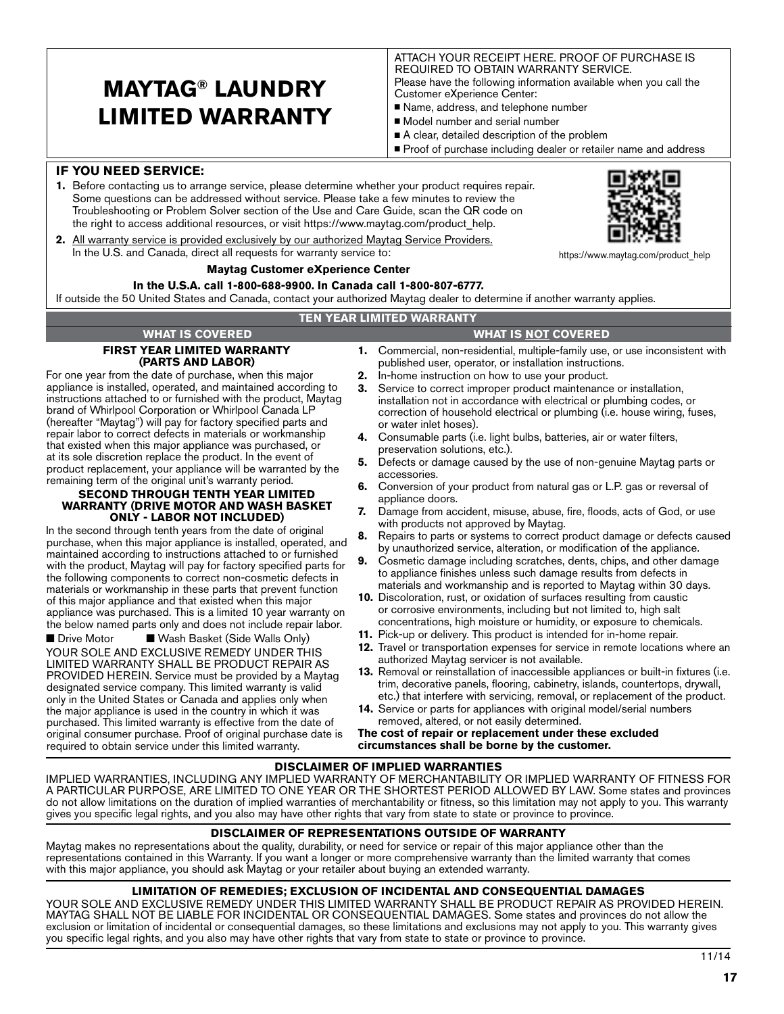# **MAYTAG® LAUNDRY LIMITED WARRANTY**

ATTACH YOUR RECEIPT HERE. PROOF OF PURCHASE IS REQUIRED TO OBTAIN WARRANTY SERVICE. Please have the following information available when you call the Customer eXperience Center:

- Name, address, and telephone number
- Model number and serial number
- A clear, detailed description of the problem
- Proof of purchase including dealer or retailer name and address

# **IF YOU NEED SERVICE:**

- **1.** Before contacting us to arrange service, please determine whether your product requires repair. Some questions can be addressed without service. Please take a few minutes to review the Troubleshooting or Problem Solver section of the Use and Care Guide, scan the QR code on the right to access additional resources, or visit https://www.maytag.com/product\_help.
- **2.** All warranty service is provided exclusively by our authorized Maytag Service Providers. In the U.S. and Canada, direct all requests for warranty service to:

#### **Maytag Customer eXperience Center**

#### **In the U.S.A. call 1-800-688-9900. In Canada call 1-800-807-6777.**

If outside the 50 United States and Canada, contact your authorized Maytag dealer to determine if another warranty applies.

#### **TEN YEAR LIMITED WARRANTY**

# **FIRST YEAR LIMITED WARRANTY (PARTS AND LABOR)**

For one year from the date of purchase, when this major appliance is installed, operated, and maintained according to instructions attached to or furnished with the product, Maytag brand of Whirlpool Corporation or Whirlpool Canada LP (hereafter "Maytag") will pay for factory specified parts and repair labor to correct defects in materials or workmanship that existed when this major appliance was purchased, or at its sole discretion replace the product. In the event of product replacement, your appliance will be warranted by the remaining term of the original unit's warranty period.

#### **SECOND THROUGH TENTH YEAR LIMITED WARRANTY (DRIVE MOTOR AND WASH BASKET ONLY - LABOR NOT INCLUDED)**

In the second through tenth years from the date of original purchase, when this major appliance is installed, operated, and maintained according to instructions attached to or furnished with the product, Maytag will pay for factory specified parts for the following components to correct non-cosmetic defects in materials or workmanship in these parts that prevent function of this major appliance and that existed when this major appliance was purchased. This is a limited 10 year warranty on the below named parts only and does not include repair labor.

■ Drive Motor ■ Wash Basket (Side Walls Only) YOUR SOLE AND EXCLUSIVE REMEDY UNDER THIS LIMITED WARRANTY SHALL BE PRODUCT REPAIR AS PROVIDED HEREIN. Service must be provided by a Maytag designated service company. This limited warranty is valid only in the United States or Canada and applies only when the major appliance is used in the country in which it was purchased. This limited warranty is effective from the date of original consumer purchase. Proof of original purchase date is required to obtain service under this limited warranty.

- **1.** Commercial, non-residential, multiple-family use, or use inconsistent with published user, operator, or installation instructions. **WHAT IS COVERED WHAT IS NOT COVERED**
	- **2.** In-home instruction on how to use your product.
	- **3.** Service to correct improper product maintenance or installation, installation not in accordance with electrical or plumbing codes, or correction of household electrical or plumbing (i.e. house wiring, fuses, or water inlet hoses).
	- **4.** Consumable parts (i.e. light bulbs, batteries, air or water filters, preservation solutions, etc.).
	- **5.** Defects or damage caused by the use of non-genuine Maytag parts or accessories.
	- **6.** Conversion of your product from natural gas or L.P. gas or reversal of appliance doors.
	- **7.** Damage from accident, misuse, abuse, fire, floods, acts of God, or use with products not approved by Maytag.
	- **8.** Repairs to parts or systems to correct product damage or defects caused by unauthorized service, alteration, or modification of the appliance.
	- **9.** Cosmetic damage including scratches, dents, chips, and other damage to appliance finishes unless such damage results from defects in materials and workmanship and is reported to Maytag within 30 days.
	- **10.** Discoloration, rust, or oxidation of surfaces resulting from caustic or corrosive environments, including but not limited to, high salt concentrations, high moisture or humidity, or exposure to chemicals.
	- **11.** Pick-up or delivery. This product is intended for in-home repair.
	- **12.** Travel or transportation expenses for service in remote locations where an authorized Maytag servicer is not available.
	- **13.** Removal or reinstallation of inaccessible appliances or built-in fixtures (i.e. trim, decorative panels, flooring, cabinetry, islands, countertops, drywall, etc.) that interfere with servicing, removal, or replacement of the product.
	- **14.** Service or parts for appliances with original model/serial numbers removed, altered, or not easily determined.

**The cost of repair or replacement under these excluded circumstances shall be borne by the customer.**

## **DISCLAIMER OF IMPLIED WARRANTIES**

IMPLIED WARRANTIES, INCLUDING ANY IMPLIED WARRANTY OF MERCHANTABILITY OR IMPLIED WARRANTY OF FITNESS FOR A PARTICULAR PURPOSE, ARE LIMITED TO ONE YEAR OR THE SHORTEST PERIOD ALLOWED BY LAW. Some states and provinces do not allow limitations on the duration of implied warranties of merchantability or fitness, so this limitation may not apply to you. This warranty gives you specific legal rights, and you also may have other rights that vary from state to state or province to province.

# **DISCLAIMER OF REPRESENTATIONS OUTSIDE OF WARRANTY**

Maytag makes no representations about the quality, durability, or need for service or repair of this major appliance other than the representations contained in this Warranty. If you want a longer or more comprehensive warranty than the limited warranty that comes with this major appliance, you should ask Maytag or your retailer about buying an extended warranty.

## **LIMITATION OF REMEDIES; EXCLUSION OF INCIDENTAL AND CONSEQUENTIAL DAMAGES**

YOUR SOLE AND EXCLUSIVE REMEDY UNDER THIS LIMITED WARRANTY SHALL BE PRODUCT REPAIR AS PROVIDED HEREIN. MAYTAG SHALL NOT BE LIABLE FOR INCIDENTAL OR CONSEQUENTIAL DAMAGES. Some states and provinces do not allow the exclusion or limitation of incidental or consequential damages, so these limitations and exclusions may not apply to you. This warranty gives you specific legal rights, and you also may have other rights that vary from state to state or province to province.



https://www.maytag.com/product\_help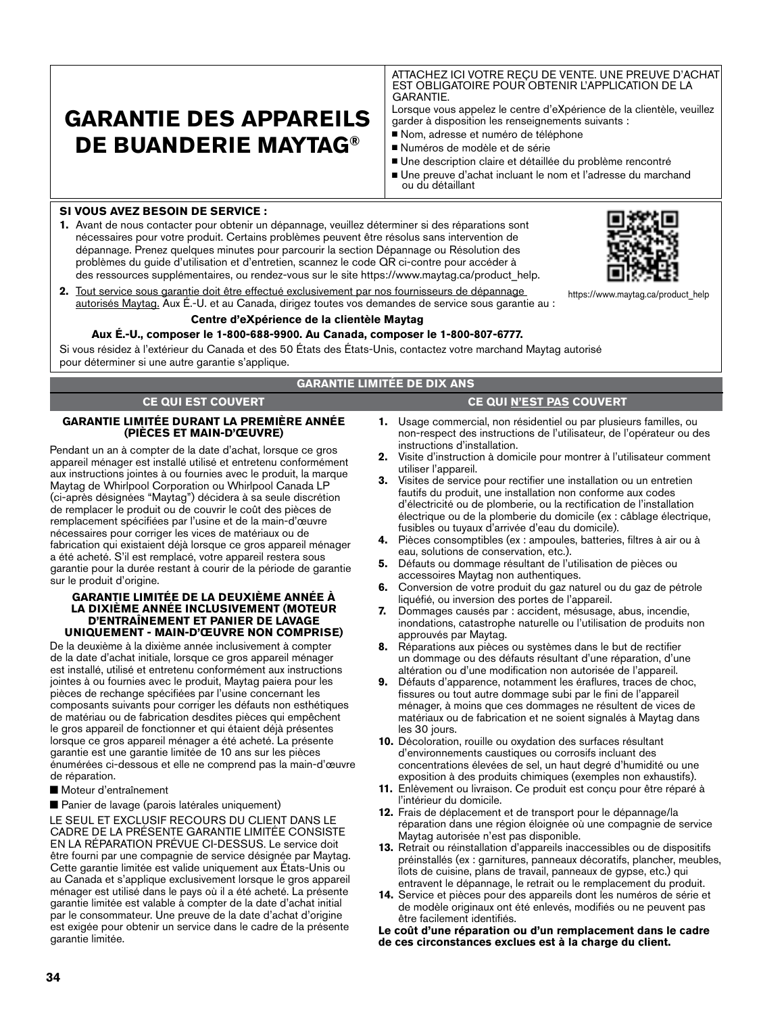# **GARANTIE DES APPAREILS DE BUANDERIE MAYTAG®**

ATTACHEZ ICI VOTRE REÇU DE VENTE. UNE PREUVE D'ACHAT EST OBLIGATOIRE POUR OBTENIR L'APPLICATION DE LA GARANTIE.

Lorsque vous appelez le centre d'eXpérience de la clientèle, veuillez garder à disposition les renseignements suivants :

- Nom, adresse et numéro de téléphone
- Numéros de modèle et de série
- <sup>n</sup> Une description claire et détaillée du problème rencontré
- <sup>n</sup> Une preuve d'achat incluant le nom et l'adresse du marchand ou du détaillant

## **SI VOUS AVEZ BESOIN DE SERVICE :**

**1.** Avant de nous contacter pour obtenir un dépannage, veuillez déterminer si des réparations sont nécessaires pour votre produit. Certains problèmes peuvent être résolus sans intervention de dépannage. Prenez quelques minutes pour parcourir la section Dépannage ou Résolution des problèmes du guide d'utilisation et d'entretien, scannez le code QR ci-contre pour accéder à des ressources supplémentaires, ou rendez-vous sur le site https://www.maytag.ca/product\_help.



https://www.maytag.ca/product\_help

**2.** Tout service sous garantie doit être effectué exclusivement par nos fournisseurs de dépannage autorisés Maytag. Aux É.-U. et au Canada, dirigez toutes vos demandes de service sous garantie au :

#### **Centre d'eXpérience de la clientèle Maytag**

#### **Aux É.-U., composer le 1-800-688-9900. Au Canada, composer le 1-800-807-6777.**

Si vous résidez à l'extérieur du Canada et des 50 États des États-Unis, contactez votre marchand Maytag autorisé pour déterminer si une autre garantie s'applique.

## **GARANTIE LIMITÉE DE DIX ANS**

#### **CE QUI EST COUVERT CE QUI N'EST PAS COUVERT**

#### **GARANTIE LIMITÉE DURANT LA PREMIÈRE ANNÉE (PIÈCES ET MAIN-D'ŒUVRE)**

Pendant un an à compter de la date d'achat, lorsque ce gros appareil ménager est installé utilisé et entretenu conformément aux instructions jointes à ou fournies avec le produit, la marque Maytag de Whirlpool Corporation ou Whirlpool Canada LP (ci-après désignées "Maytag") décidera à sa seule discrétion de remplacer le produit ou de couvrir le coût des pièces de remplacement spécifiées par l'usine et de la main-d'œuvre nécessaires pour corriger les vices de matériaux ou de fabrication qui existaient déjà lorsque ce gros appareil ménager a été acheté. S'il est remplacé, votre appareil restera sous garantie pour la durée restant à courir de la période de garantie sur le produit d'origine.

#### **GARANTIE LIMITÉE DE LA DEUXIÈME ANNÉE À LA DIXIÈME ANNÉE INCLUSIVEMENT (MOTEUR D'ENTRAÎNEMENT ET PANIER DE LAVAGE UNIQUEMENT - MAIN-D'ŒUVRE NON COMPRISE)**

De la deuxième à la dixième année inclusivement à compter de la date d'achat initiale, lorsque ce gros appareil ménager est installé, utilisé et entretenu conformément aux instructions jointes à ou fournies avec le produit, Maytag paiera pour les pièces de rechange spécifiées par l'usine concernant les composants suivants pour corriger les défauts non esthétiques de matériau ou de fabrication desdites pièces qui empêchent le gros appareil de fonctionner et qui étaient déjà présentes lorsque ce gros appareil ménager a été acheté. La présente garantie est une garantie limitée de 10 ans sur les pièces énumérées ci-dessous et elle ne comprend pas la main-d'œuvre de réparation.

n Moteur d'entraînement

■ Panier de lavage (parois latérales uniquement)

LE SEUL ET EXCLUSIF RECOURS DU CLIENT DANS LE CADRE DE LA PRÉSENTE GARANTIE LIMITÉE CONSISTE EN LA RÉPARATION PRÉVUE CI-DESSUS. Le service doit être fourni par une compagnie de service désignée par Maytag. Cette garantie limitée est valide uniquement aux États-Unis ou au Canada et s'applique exclusivement lorsque le gros appareil ménager est utilisé dans le pays où il a été acheté. La présente garantie limitée est valable à compter de la date d'achat initial par le consommateur. Une preuve de la date d'achat d'origine est exigée pour obtenir un service dans le cadre de la présente garantie limitée.

- **1.** Usage commercial, non résidentiel ou par plusieurs familles, ou non-respect des instructions de l'utilisateur, de l'opérateur ou des instructions d'installation.
- **2.** Visite d'instruction à domicile pour montrer à l'utilisateur comment utiliser l'appareil.
- **3.** Visites de service pour rectifier une installation ou un entretien fautifs du produit, une installation non conforme aux codes d'électricité ou de plomberie, ou la rectification de l'installation électrique ou de la plomberie du domicile (ex : câblage électrique, fusibles ou tuyaux d'arrivée d'eau du domicile).
- **4.** Pièces consomptibles (ex : ampoules, batteries, filtres à air ou à eau, solutions de conservation, etc.).
- **5.** Défauts ou dommage résultant de l'utilisation de pièces ou accessoires Maytag non authentiques.
- **6.** Conversion de votre produit du gaz naturel ou du gaz de pétrole liquéfié, ou inversion des portes de l'appareil.
- **7.** Dommages causés par : accident, mésusage, abus, incendie, inondations, catastrophe naturelle ou l'utilisation de produits non approuvés par Maytag.
- **8.** Réparations aux pièces ou systèmes dans le but de rectifier un dommage ou des défauts résultant d'une réparation, d'une altération ou d'une modification non autorisée de l'appareil.
- **9.** Défauts d'apparence, notamment les éraflures, traces de choc, fissures ou tout autre dommage subi par le fini de l'appareil ménager, à moins que ces dommages ne résultent de vices de matériaux ou de fabrication et ne soient signalés à Maytag dans les 30 jours.
- **10.** Décoloration, rouille ou oxydation des surfaces résultant d'environnements caustiques ou corrosifs incluant des concentrations élevées de sel, un haut degré d'humidité ou une exposition à des produits chimiques (exemples non exhaustifs).
- **11.** Enlèvement ou livraison. Ce produit est conçu pour être réparé à l'intérieur du domicile.
- **12.** Frais de déplacement et de transport pour le dépannage/la réparation dans une région éloignée où une compagnie de service Maytag autorisée n'est pas disponible.
- **13.** Retrait ou réinstallation d'appareils inaccessibles ou de dispositifs préinstallés (ex : garnitures, panneaux décoratifs, plancher, meubles, îlots de cuisine, plans de travail, panneaux de gypse, etc.) qui entravent le dépannage, le retrait ou le remplacement du produit.
- **14.** Service et pièces pour des appareils dont les numéros de série et de modèle originaux ont été enlevés, modifiés ou ne peuvent pas être facilement identifiés.

**Le coût d'une réparation ou d'un remplacement dans le cadre de ces circonstances exclues est à la charge du client.**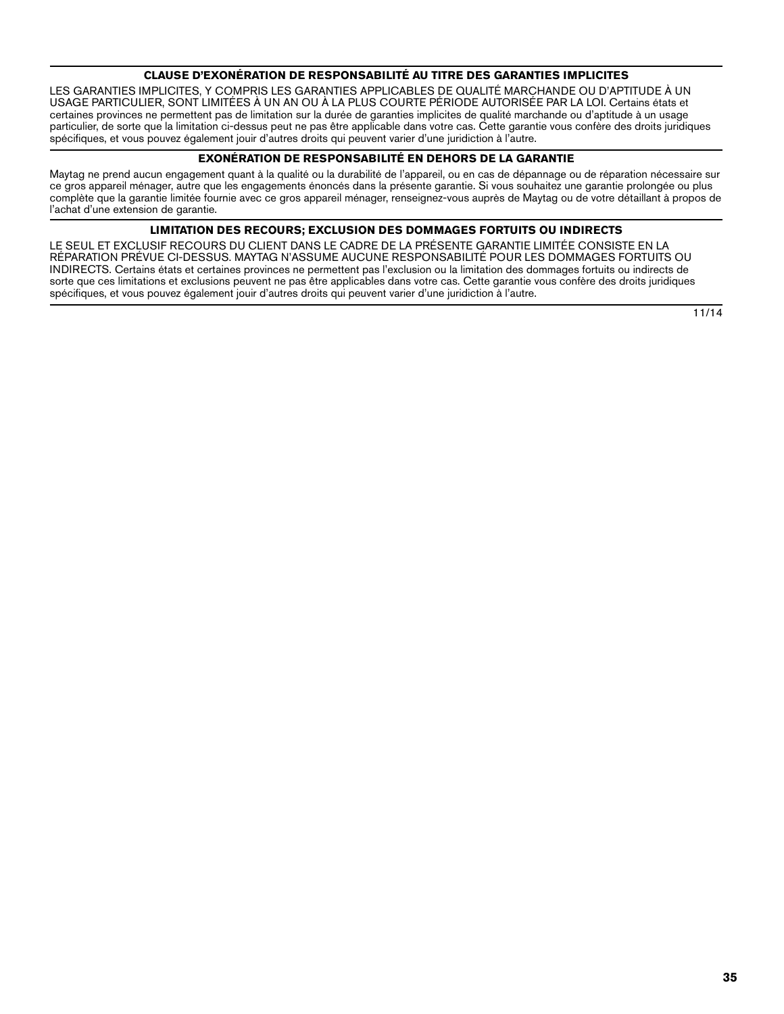## **CLAUSE D'EXONÉRATION DE RESPONSABILITÉ AU TITRE DES GARANTIES IMPLICITES**

LES GARANTIES IMPLICITES, Y COMPRIS LES GARANTIES APPLICABLES DE QUALITÉ MARCHANDE OU D'APTITUDE À UN USAGE PARTICULIER, SONT LIMITÉES À UN AN OU À LA PLUS COURTE PÉRIODE AUTORISÉE PAR LA LOI. Certains états et certaines provinces ne permettent pas de limitation sur la durée de garanties implicites de qualité marchande ou d'aptitude à un usage particulier, de sorte que la limitation ci-dessus peut ne pas être applicable dans votre cas. Cette garantie vous confère des droits juridiques spécifiques, et vous pouvez également jouir d'autres droits qui peuvent varier d'une juridiction à l'autre.

## **EXONÉRATION DE RESPONSABILITÉ EN DEHORS DE LA GARANTIE**

Maytag ne prend aucun engagement quant à la qualité ou la durabilité de l'appareil, ou en cas de dépannage ou de réparation nécessaire sur ce gros appareil ménager, autre que les engagements énoncés dans la présente garantie. Si vous souhaitez une garantie prolongée ou plus complète que la garantie limitée fournie avec ce gros appareil ménager, renseignez-vous auprès de Maytag ou de votre détaillant à propos de l'achat d'une extension de garantie.

## **LIMITATION DES RECOURS; EXCLUSION DES DOMMAGES FORTUITS OU INDIRECTS**

LE SEUL ET EXCLUSIF RECOURS DU CLIENT DANS LE CADRE DE LA PRÉSENTE GARANTIE LIMITÉE CONSISTE EN LA RÉPARATION PRÉVUE CI-DESSUS. MAYTAG N'ASSUME AUCUNE RESPONSABILITÉ POUR LES DOMMAGES FORTUITS OU INDIRECTS. Certains états et certaines provinces ne permettent pas l'exclusion ou la limitation des dommages fortuits ou indirects de sorte que ces limitations et exclusions peuvent ne pas être applicables dans votre cas. Cette garantie vous confère des droits juridiques spécifiques, et vous pouvez également jouir d'autres droits qui peuvent varier d'une juridiction à l'autre.

11/14